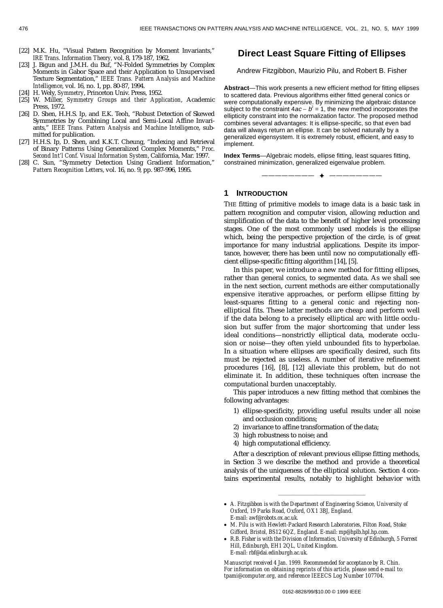# **Direct Least Square Fitting of Ellipses**

Andrew Fitzgibbon, Maurizio Pilu, and Robert B. Fisher

**Abstract**—This work presents a new efficient method for fitting ellipses to scattered data. Previous algorithms either fitted general conics or were computationally expensive. By minimizing the algebraic distance subject to the constraint  $4ac - b^2 = 1$ , the new method incorporates the ellipticity constraint into the normalization factor. The proposed method combines several advantages: It is ellipse-specific, so that even bad data will always return an ellipse. It can be solved naturally by a generalized eigensystem. It is extremely robust, efficient, and easy to implement.

**Index Terms**—Algebraic models, ellipse fitting, least squares fitting, constrained minimization, generalized eigenvalue problem.

———————— F ————————

# **1 INTRODUCTION**

THE fitting of primitive models to image data is a basic task in pattern recognition and computer vision, allowing reduction and simplification of the data to the benefit of higher level processing stages. One of the most commonly used models is the ellipse which, being the perspective projection of the circle, is of great importance for many industrial applications. Despite its importance, however, there has been until now no computationally efficient ellipse-specific fitting algorithm [14], [5].

In this paper, we introduce a new method for fitting ellipses, rather than general conics, to segmented data. As we shall see in the next section, current methods are either computationally expensive iterative approaches, or perform ellipse fitting by least-squares fitting to a general conic and rejecting nonelliptical fits. These latter methods are cheap and perform well if the data belong to a precisely elliptical arc with little occlusion but suffer from the major shortcoming that under less ideal conditions—nonstrictly elliptical data, moderate occlusion or noise—they often yield unbounded fits to hyperbolae. In a situation where ellipses are specifically desired, such fits must be rejected as useless. A number of iterative refinement procedures [16], [8], [12] alleviate this problem, but do not eliminate it. In addition, these techniques often increase the computational burden unacceptably.

This paper introduces a new fitting method that combines the following advantages:

- 1) ellipse-specificity, providing useful results under all noise and occlusion conditions;
- 2) invariance to affine transformation of the data;
- 3) high robustness to noise; and
- 4) high computational efficiency.

After a description of relevant previous ellipse fitting methods, in Section 3 we describe the method and provide a theoretical analysis of the uniqueness of the elliptical solution. Section 4 contains experimental results, notably to highlight behavior with

²²²²²²²²²²²²²²²²

- *A. Fitzgibbon is with the Department of Engineering Science, University of Oxford, 19 Parks Road, Oxford, OX1 3BJ, England. E-mail: awf@robots.ox.ac.uk.*
- *M. Pilu is with Hewlett-Packard Research Laboratories, Filton Road, Stoke Gifford, Bristol, BS12 6QZ, England. E-mail: mp@hplb.hpl.hp.com.*
- *R.B. Fisher is with the Division of Informatics, University of Edinburgh, 5 Forrest Hill, Edinburgh, EH1 2QL, United Kingdom. E-mail: rbf@dai.edinburgh.ac.uk.*

*Manuscript received 4 Jan. 1999. Recommended for acceptance by R. Chin. For information on obtaining reprints of this article, please send e-mail to: tpami@computer.org, and reference IEEECS Log Number 107704.*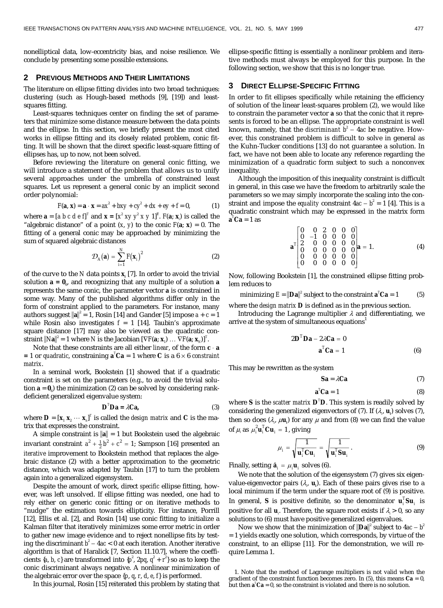nonelliptical data, low-eccentricity bias, and noise resilience. We conclude by presenting some possible extensions.

## **2 PREVIOUS METHODS AND THEIR LIMITATIONS**

The literature on ellipse fitting divides into two broad techniques: clustering (such as Hough-based methods [9], [19]) and leastsquares fitting.

Least-squares techniques center on finding the set of parameters that minimize some distance measure between the data points and the ellipse. In this section, we briefly present the most cited works in ellipse fitting and its closely related problem, conic fitting. It will be shown that the direct specific least-square fitting of ellipses has, up to now, not been solved.

Before reviewing the literature on general conic fitting, we will introduce a statement of the problem that allows us to unify several approaches under the umbrella of constrained least squares. Let us represent a general conic by an implicit second order polynomial:

$$
F(a, x) = a \cdot x = ax^{2} + bxy + cy^{2} + dx + ey + f = 0,
$$
 (1)

where  $\mathbf{a} = [a \ b \ c \ d \ e \ f]^T$  and  $\mathbf{x} = [x^2 \ xy \ y^2 \ x \ y \ 1]^T$ .  $F(\mathbf{a}; \mathbf{x})$  is called the "algebraic distance" of a point  $(x, y)$  to the conic  $F(\mathbf{a}; \mathbf{x}) = 0$ . The fitting of a general conic may be approached by minimizing the sum of squared algebraic distances

$$
\mathcal{D}_A(\mathbf{a}) = \sum_{i=1}^N F(\mathbf{x}_i)^2 \tag{2}
$$

of the curve to the *N* data points **x***<sup>i</sup>* [7]. In order to avoid the trivial solution  $\mathbf{a} = \mathbf{0}_6$ , and recognizing that any multiple of a solution  $\mathbf{a}$ represents the same conic, the parameter vector **a** is constrained in some way. Many of the published algorithms differ only in the form of constraint applied to the parameters. For instance, many authors suggest  $\|\mathbf{a}\|^2 = 1$ , Rosin [14] and Gander [5] impose  $a + c = 1$ while Rosin also investigates  $f = 1$  [14]. Taubin's approximate square distance [17] may also be viewed as the quadratic constraint  $\|N\mathbf{a}\|^2 = 1$  where  $N$  is the Jacobian  $[\nabla F(\mathbf{a}; \mathbf{x}_1) \dots \nabla F(\mathbf{a}; \mathbf{x}_N)]^T$ .

Note that these constraints are all either *linear*, of the form  $c \cdot a$  $= 1$  or *quadratic*, constraining  $\mathbf{a}^T\mathbf{C}\mathbf{a} = 1$  where  $\mathbf{C}$  is a  $6 \times 6$  *constraint matrix*.

In a seminal work, Bookstein [1] showed that if a quadratic constraint is set on the parameters (e.g., to avoid the trivial solution  $\mathbf{a} = \mathbf{0}_6$ ) the minimization (2) can be solved by considering rankdeficient generalized eigenvalue system:

$$
\mathbf{D}^T \mathbf{D} \mathbf{a} = \lambda \mathbf{C} \mathbf{a},\tag{3}
$$

where  $\mathbf{D} = [\mathbf{x}_1 \ \mathbf{x}_2 \ \cdots \ \mathbf{x}_n]^T$  is called the *design matrix* and  $\mathbf{C}$  is the matrix that expresses the constraint.

A simple constraint is  $\|\mathbf{a}\| = 1$  but Bookstein used the algebraic invariant constraint  $a^2 + \frac{1}{2}b^2 + c^2 = 1$ ; Sampson [16] presented an *iterative* improvement to Bookstein method that replaces the algebraic distance (2) with a better approximation to the geometric distance, which was adapted by Taubin [17] to turn the problem again into a generalized eigensystem.

Despite the amount of work, direct *specific* ellipse fitting, however, was left unsolved. If ellipse fitting was needed, one had to rely either on generic conic fitting or on iterative methods to "nudge" the estimation towards ellipticity. For instance, Porrill [12], Ellis et al. [2], and Rosin [14] use conic fitting to initialize a Kalman filter that iteratively minimizes some error metric in order to gather new image evidence and to reject nonellipse fits by testing the discriminant  $b^2-4ac < 0$  at each iteration. Another iterative algorithm is that of Haralick [7, Section 11.10.7], where the coefficients {*a*, *b*, *c*} are transformed into { $p^2$ , 2pq,  $q^2 + r^2$ } so as to keep the conic discriminant always negative. A nonlinear minimization of the algebraic error over the space {*p*, *q*, *r*, *d*, *e*, *f*} is performed.

In this journal, Rosin [15] reiterated this problem by stating that

ellipse-specific fitting is essentially a nonlinear problem and iterative methods must always be employed for this purpose. In the following section, we show that this is no longer true.

## **3 DIRECT ELLIPSE-SPECIFIC FITTING**

In order to fit ellipses specifically while retaining the efficiency of solution of the linear least-squares problem (2), we would like to constrain the parameter vector **a** so that the conic that it represents is forced to be an ellipse. The appropriate constraint is well known, namely, that the *discriminant*  $b^2 - 4ac$  be negative. However, this constrained problem is difficult to solve in general as the Kuhn-Tucker conditions [13] do not guarantee a solution. In fact, we have not been able to locate any reference regarding the minimization of a quadratic form subject to such a nonconvex inequality.

Although the imposition of this inequality constraint is difficult in general, in this case we have the freedom to arbitrarily scale the parameters so we may simply incorporate the scaling into the constraint and impose the *equality* constraint  $4ac - b^2 = 1$  [4]. This is a quadratic constraint which may be expressed in the matrix form  $\mathbf{a}^T \mathbf{C} \mathbf{a} = 1$  as

$$
\mathbf{a}^{T}\begin{bmatrix} 0 & 0 & 2 & 0 & 0 & 0 \\ 0 & -1 & 0 & 0 & 0 & 0 \\ 2 & 0 & 0 & 0 & 0 & 0 \\ 0 & 0 & 0 & 0 & 0 & 0 \\ 0 & 0 & 0 & 0 & 0 & 0 \\ 0 & 0 & 0 & 0 & 0 & 0 \end{bmatrix} \mathbf{a} = 1.
$$
 (4)

Now, following Bookstein [1], the constrained ellipse fitting problem reduces to

minimizing 
$$
E = ||\mathbf{Da}||^2
$$
 subject to the constraint  $\mathbf{a}^T \mathbf{C} \mathbf{a} = 1$  (5)

where the *design matrix* **D** is defined as in the previous section.

Introducing the Lagrange multiplier  $\lambda$  and differentiating, we arrive at the system of simultaneous equations<sup>1</sup>

$$
2\mathbf{D}^T \mathbf{D} \mathbf{a} - 2\lambda \mathbf{C} \mathbf{a} = 0
$$

$$
\mathbf{a}^T \mathbf{C} \mathbf{a} = 1
$$
 (6)

This may be rewritten as the system

$$
Sa = \lambda Ca \tag{7}
$$

$$
\mathbf{a}^T \mathbf{C} \mathbf{a} = 1 \tag{8}
$$

where **S** is the *scatter matrix* **D***<sup>T</sup>* **D**. This system is readily solved by considering the generalized eigenvectors of (7). If  $(\lambda_p \mathbf{u}_i)$  solves (7), then so does  $(\lambda_{\scriptscriptstyle{p}}\not\!\mu$ **u**<sub>*i*</sub>) for any  $\mu$  and from (8) we can find the value of  $\mu_i$  as  $\mu_i^2 \mathbf{u}_i^T \mathbf{C} \mathbf{u}_i = 1$ , giving

$$
\mu_i = \sqrt{\frac{1}{\mathbf{u}_i^T \mathbf{C} \mathbf{u}_i}} = \sqrt{\frac{1}{\mathbf{u}_i^T \mathbf{S} \mathbf{u}_i}}.
$$
 (9)

Finally, setting  $\hat{\mathbf{a}}_i = \mu_i \mathbf{u}_i$ , solves (6).

We note that the solution of the eigensystem (7) gives six eigenvalue-eigenvector pairs  $(\lambda, \mathbf{u})$ . Each of these pairs gives rise to a local minimum if the term under the square root of (9) is positive. In general, **S** is positive definite, so the denominator  $\mathbf{u}_i^T \mathbf{S} \mathbf{u}_i$  is positive for all  $\textbf{u}_i$ . Therefore, the square root exists if  $\lambda_i$  > 0, so any solutions to (6) must have positive generalized eigenvalues.

Now we show that the minimization of  $\|\mathbf{D}\mathbf{a}\|^2$  subject to 4*ac* –  $b^2$ = 1 yields exactly one solution, which corresponds, by virtue of the constraint, to an ellipse [11]. For the demonstration, we will require Lemma 1.

1. Note that the method of Lagrange multipliers is not valid when the gradient of the constraint function becomes zero. In  $(5)$ , this means  $Ca = 0$ . but then  $\mathbf{a}^T \mathbf{C} \mathbf{a} = 0$ , so the constraint is violated and there is no solution.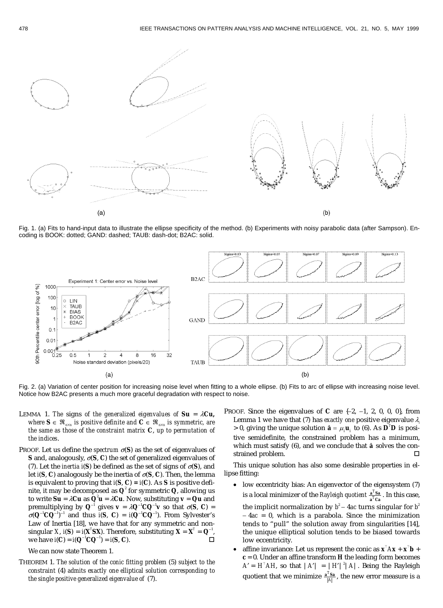

Fig. 1. (a) Fits to hand-input data to illustrate the ellipse specificity of the method. (b) Experiments with noisy parabolic data (after Sampson). Encoding is BOOK: dotted; GAND: dashed; TAUB: dash-dot; B2AC: solid.



Fig. 2. (a) Variation of center position for increasing noise level when fitting to a whole ellipse. (b) Fits to arc of ellipse with increasing noise level. Notice how B2AC presents a much more graceful degradation with respect to noise.

- LEMMA 1. The signs of the generalized eigenvalues of  $Su = \lambda Cu$ , *where*  $S \in \Re_{n \times n}$  *is positive definite and*  $C \in \Re_{n \times n}$  *is symmetric, are the same as those of the constraint matrix* **C**, *up to permutation of the indices*.
- PROOF. Let us define the *spectrum*  $\sigma(S)$  as the set of eigenvalues of **S** and, analogously,  $\sigma$ (**S**, **C**) the set of generalized eigenvalues of (7). Let the *inertia*  $i(S)$  be defined as the set of signs of  $\sigma(S)$ , and let  $i(S, C)$  analogously be the inertia of  $\sigma(S, C)$ . Then, the lemma is equivalent to proving that  $i(S, C) = i(C)$ . As S is positive definite, it may be decomposed as  $\mathbf{Q}^{\text{z}}$  for symmetric  $\mathbf{Q}$ , allowing us to write  $\textbf{S}\textbf{u} = \lambda \textbf{C}\textbf{u}$  as  $\textbf{Q}^2\textbf{u} = \lambda \textbf{C}\textbf{u}$ . Now, substituting  $\textbf{v} = \textbf{Q}\textbf{u}$  and premultiplying by  $Q^{-1}$  gives  $v = \lambda Q^{-1} C Q^{-1} v$  so that  $\sigma(S, C) =$  $\sigma(\mathbf{Q}^{-1}\mathbf{C}\mathbf{Q}^{-1})^{-1}$  and thus  $i(\mathbf{S}, \mathbf{C}) = i(\mathbf{Q}^{-1}\mathbf{C}\mathbf{Q}^{-1})$ . From Sylvester's Law of Inertia [18], we have that for any symmetric and nonsingular *X*, *i*(**S**) = *i*(**X**<sup>*T*</sup>**SX**). Therefore, substituting **X** =  $X^T = Q^{-1}$ ,  $\text{we have } i(\textbf{C}) = i(\textbf{Q}^{-1}\textbf{C}\textbf{Q}^{-1}) = i(\textbf{S}, \textbf{C}).$

We can now state Theorem 1.

THEOREM 1. *The solution of the conic fitting problem* (5) *subject to the constraint* (4) *admits exactly one elliptical solution corresponding to the single positive generalized eigenvalue of* (7).

PROOF. Since the eigenvalues of  $C$  are  $\{-2, -1, 2, 0, 0, 0\}$ , from Lemma 1 we have that (7) has *exactly one* positive eigenvalue  $\lambda$ .  $> 0$ , giving the unique solution  $\hat{\mathbf{a}} = \mu_i \mathbf{u}_i$  to (6). As  $\mathbf{D}^T \mathbf{D}$  is positive semidefinite, the constrained problem has a minimum, which must satisfy (6), and we conclude that  $\hat{a}$  solves the constrained problem.

This unique solution has also some desirable properties in ellipse fitting:

 low eccentricity bias: An eigenvector of the eigensystem (7) is a local minimizer of the *Rayleigh quotient*  $\frac{a^2 Sa}{a^T Ca}$  $\frac{T_{\mathbf{Sa}}}{T_{\mathbf{Ca}}}$ . In this case,

the implicit normalization by  $b^2-4ac$  turns singular for  $b^2$  $-4ac = 0$ , which is a parabola. Since the minimization tends to "pull" the solution away from singularities [14], the unique elliptical solution tends to be biased towards low eccentricity.

• affine invariance: Let us represent the conic as  $\mathbf{x}^\top A \mathbf{x} + \mathbf{x}^\top \mathbf{b}$  +  $c = 0$ . Under an affine transform  $H$  the leading form becomes  $A' = H<sup>T</sup> AH$ , so that  $|A'| = |H'|^2 |A|$ . Being the Rayleigh quotient that we minimize  $\frac{a^T S a}{|A|}$ , the new error measure is a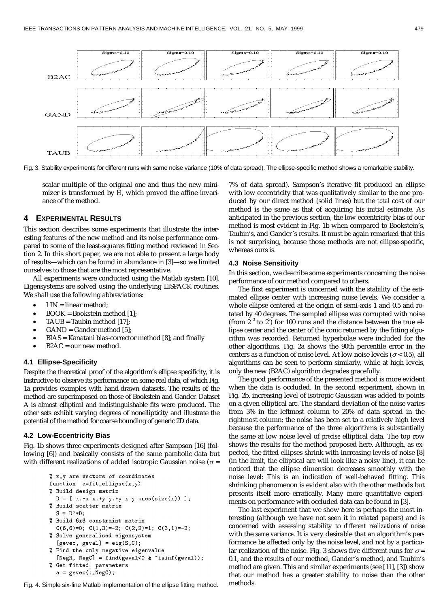

Fig. 3. Stability experiments for different runs with same noise variance (10% of data spread). The ellipse-specific method shows a remarkable stability.

scalar multiple of the original one and thus the new minimizer is transformed by *H*, which proved the affine invariance of the method.

# **4 EXPERIMENTAL RESULTS**

This section describes some experiments that illustrate the interesting features of the new method and its noise performance compared to some of the least-squares fitting method reviewed in Section 2. In this short paper, we are not able to present a large body of results—which can be found in abundance in [3]—so we limited ourselves to those that are the most representative.

All experiments were conducted using the Matlab system [10]. Eigensystems are solved using the underlying EISPACK routines. We shall use the following abbreviations:

- LIN = linear method;
- BOOK = Bookstein method [1];
- TAUB = Taubin method [17];
- GAND = Gander method [5];
- BIAS = Kanatani bias-corrector method [8]; and finally
- B2AC = our new method.

#### **4.1 Ellipse-Specificity**

Despite the theoretical proof of the algorithm's ellipse specificity, it is instructive to observe its performance on some real data, of which Fig. 1a provides examples with hand-drawn datasets. The results of the method are superimposed on those of Bookstein and Gander. Dataset A is almost elliptical and indistinguishable fits were produced. The other sets exhibit varying degrees of nonellipticity and illustrate the potential of the method for coarse bounding of generic 2D data.

#### **4.2 Low-Eccentricity Bias**

Fig. 1b shows three experiments designed after Sampson [16] (following [6]) and basically consists of the same parabolic data but with different realizations of added isotropic Gaussian noise ( $\sigma$  =

```
% x, y are vectors of coordinates
function a=fit-ellipse(x,y)% Build design matrix
  D = [x.*x x.*y y.*y x y ones(size(x)) ];% Build scatter matrix
  S = D'*D:
% Build 6x6 constraint matrix
  C(6,6)=0; C(1,3)=-2; C(2,2)=1; C(3,1)=-2;
% Solve generalised eigensystem
  [gevec, geval] = eig(S,C);
% Find the only negative eigenvalue
  [NegR, NegC] = find(geval<0 & "isinf(geval));
% Get fitted parameters
  a = gevec(:,NegC);
```
Fig. 4. Simple six-line Matlab implementation of the ellipse fitting method. methods.

7% of data spread). Sampson's iterative fit produced an ellipse with low eccentricity that was qualitatively similar to the one produced by our direct method (solid lines) but the *total* cost of our method is the same as that of acquiring his initial estimate. As anticipated in the previous section, the low eccentricity bias of our method is most evident in Fig. 1b when compared to Bookstein's, Taubin's, and Gander's results. It must be again remarked that this is not surprising, because those methods are not ellipse-specific, whereas ours is.

## **4.3 Noise Sensitivity**

In this section, we describe some experiments concerning the noise performance of our method compared to others.

The first experiment is concerned with the stability of the estimated ellipse center with increasing noise levels. We consider a whole ellipse centered at the origin of semi-axis 1 and 0.5 and rotated by 40 degrees. The sampled ellipse was corrupted with noise (from  $2^{-3}$  to  $2^{3}$ ) for 100 runs and the distance between the true ellipse center and the center of the conic returned by the fitting algorithm was recorded. Returned hyperbolae were included for the other algorithms. Fig. 2a shows the 90th percentile error in the centers as a function of noise level. At low noise levels ( $\sigma$  < 0.5), all algorithms can be seen to perform similarly, while at high levels, only the new (B2AC) algorithm degrades gracefully.

The good performance of the presented method is more evident when the data is occluded. In the second experiment, shown in Fig. 2b, increasing level of isotropic Gaussian was added to points on a given elliptical arc. The standard deviation of the noise varies from 3% in the leftmost column to 20% of data spread in the rightmost column; the noise has been set to a relatively high level because the performance of the three algorithms is substantially the same at low noise level of *precise* elliptical data. The top row shows the results for the method proposed here. Although, as expected, the fitted ellipses shrink with increasing levels of noise [8] (in the limit, the elliptical arc will look like a noisy line), it can be noticed that the ellipse dimension decreases smoothly with the noise level: This is an indication of well-behaved fitting. This shrinking phenomenon is evident also with the other methods but presents itself more erratically. Many more quantitative experiments on performance with occluded data can be found in [3].

The last experiment that we show here is perhaps the most interesting (although we have not seen it in related papers) and is concerned with assessing stability to *different realizations of noise* with the *same variance*. It is very desirable that an algorithm's performance be affected only by the noise level, and not by a particular realization of the noise. Fig. 3 shows five different runs for  $\sigma =$ 0.1, and the results of our method, Gander's method, and Taubin's method are given. This and similar experiments (see [11], [3]) show that our method has a greater stability to noise than the other